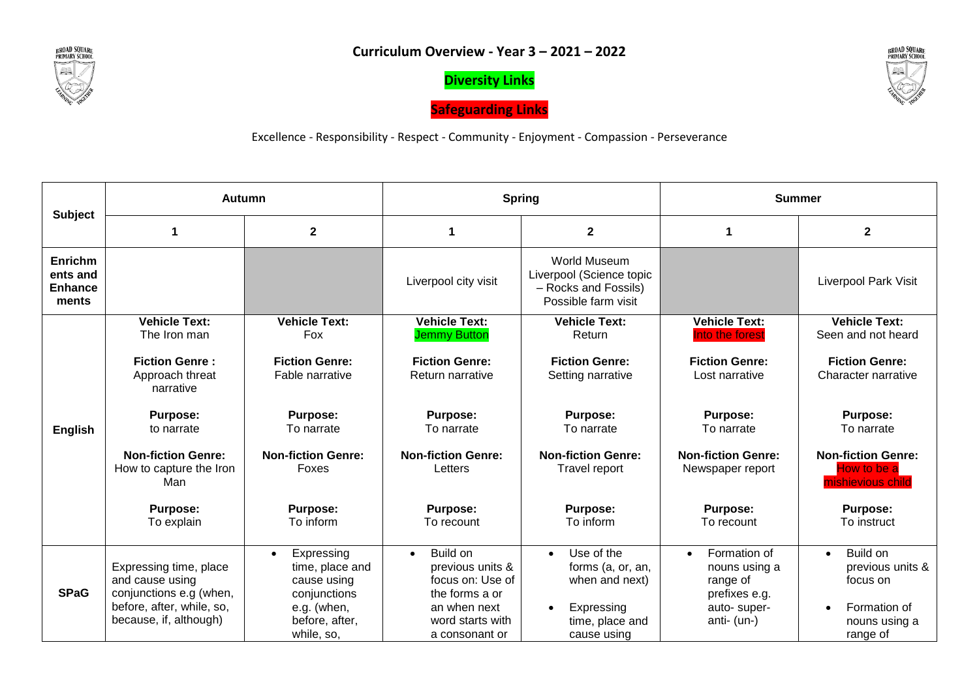

**Diversity Links**





Excellence - Responsibility - Respect - Community - Enjoyment - Compassion - Perseverance

|                                                       | <b>Autumn</b>                                                                                                               |                                                                                                                          | <b>Spring</b>                                                                                                                         |                                                                                                                             | <b>Summer</b>                                                                                         |                                                                                                    |
|-------------------------------------------------------|-----------------------------------------------------------------------------------------------------------------------------|--------------------------------------------------------------------------------------------------------------------------|---------------------------------------------------------------------------------------------------------------------------------------|-----------------------------------------------------------------------------------------------------------------------------|-------------------------------------------------------------------------------------------------------|----------------------------------------------------------------------------------------------------|
| <b>Subject</b>                                        |                                                                                                                             | $\mathbf{2}$                                                                                                             | 1                                                                                                                                     | $\mathbf 2$                                                                                                                 | 1                                                                                                     | $\mathbf{2}$                                                                                       |
| <b>Enrichm</b><br>ents and<br><b>Enhance</b><br>ments |                                                                                                                             |                                                                                                                          | Liverpool city visit                                                                                                                  | World Museum<br>Liverpool (Science topic<br>- Rocks and Fossils)<br>Possible farm visit                                     |                                                                                                       | <b>Liverpool Park Visit</b>                                                                        |
|                                                       | <b>Vehicle Text:</b><br>The Iron man                                                                                        | <b>Vehicle Text:</b><br>Fox                                                                                              | <b>Vehicle Text:</b><br><b>Jemmy Button</b>                                                                                           | <b>Vehicle Text:</b><br>Return                                                                                              | <b>Vehicle Text:</b><br>Into the forest                                                               | <b>Vehicle Text:</b><br>Seen and not heard                                                         |
|                                                       | <b>Fiction Genre:</b><br>Approach threat<br>narrative                                                                       | <b>Fiction Genre:</b><br>Fable narrative                                                                                 | <b>Fiction Genre:</b><br>Return narrative                                                                                             | <b>Fiction Genre:</b><br>Setting narrative                                                                                  | <b>Fiction Genre:</b><br>Lost narrative                                                               | <b>Fiction Genre:</b><br>Character narrative                                                       |
| <b>English</b>                                        | <b>Purpose:</b><br>to narrate                                                                                               | <b>Purpose:</b><br>To narrate                                                                                            | <b>Purpose:</b><br>To narrate                                                                                                         | <b>Purpose:</b><br>To narrate                                                                                               | <b>Purpose:</b><br>To narrate                                                                         | <b>Purpose:</b><br>To narrate                                                                      |
|                                                       | <b>Non-fiction Genre:</b><br>How to capture the Iron<br>Man                                                                 | <b>Non-fiction Genre:</b><br>Foxes                                                                                       | <b>Non-fiction Genre:</b><br>Letters                                                                                                  | <b>Non-fiction Genre:</b><br>Travel report                                                                                  | <b>Non-fiction Genre:</b><br>Newspaper report                                                         | <b>Non-fiction Genre:</b><br>How to be a<br>mishievious child                                      |
|                                                       | Purpose:<br>To explain                                                                                                      | <b>Purpose:</b><br>To inform                                                                                             | <b>Purpose:</b><br>To recount                                                                                                         | <b>Purpose:</b><br>To inform                                                                                                | <b>Purpose:</b><br>To recount                                                                         | <b>Purpose:</b><br>To instruct                                                                     |
| <b>SPaG</b>                                           | Expressing time, place<br>and cause using<br>conjunctions e.g (when,<br>before, after, while, so,<br>because, if, although) | Expressing<br>$\bullet$<br>time, place and<br>cause using<br>conjunctions<br>e.g. (when,<br>before, after,<br>while, so, | Build on<br>$\bullet$<br>previous units &<br>focus on: Use of<br>the forms a or<br>an when next<br>word starts with<br>a consonant or | Use of the<br>$\bullet$<br>forms (a, or, an,<br>when and next)<br>Expressing<br>$\bullet$<br>time, place and<br>cause using | Formation of<br>$\bullet$<br>nouns using a<br>range of<br>prefixes e.g.<br>auto-super-<br>anti- (un-) | Build on<br>$\bullet$<br>previous units &<br>focus on<br>Formation of<br>nouns using a<br>range of |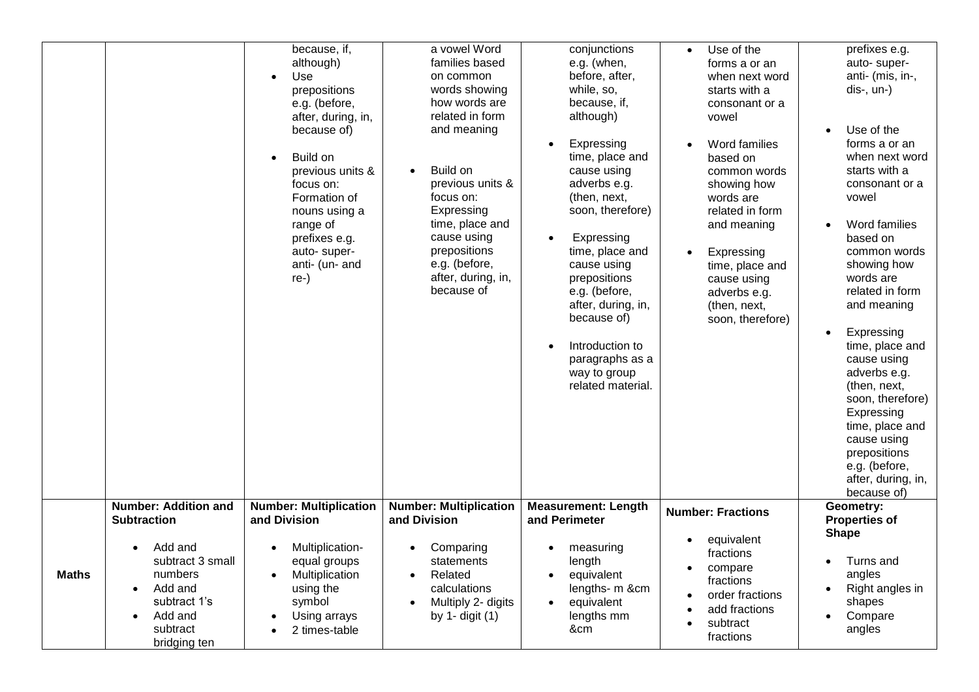|              |                                                                                                                                    | because, if,<br>although)<br>Use<br>prepositions<br>e.g. (before,<br>after, during, in,<br>because of)<br>Build on<br>previous units &<br>focus on:<br>Formation of<br>nouns using a<br>range of<br>prefixes e.g.<br>auto-super-<br>anti- (un- and<br>re-) | a vowel Word<br>families based<br>on common<br>words showing<br>how words are<br>related in form<br>and meaning<br>Build on<br>$\bullet$<br>previous units &<br>focus on:<br>Expressing<br>time, place and<br>cause using<br>prepositions<br>e.g. (before,<br>after, during, in,<br>because of | conjunctions<br>e.g. (when,<br>before, after,<br>while, so,<br>because, if,<br>although)<br>Expressing<br>$\bullet$<br>time, place and<br>cause using<br>adverbs e.g.<br>(then, next,<br>soon, therefore)<br>Expressing<br>$\bullet$<br>time, place and<br>cause using<br>prepositions<br>e.g. (before,<br>after, during, in,<br>because of)<br>Introduction to<br>$\bullet$<br>paragraphs as a<br>way to group<br>related material. | Use of the<br>$\bullet$<br>forms a or an<br>when next word<br>starts with a<br>consonant or a<br>vowel<br>Word families<br>based on<br>common words<br>showing how<br>words are<br>related in form<br>and meaning<br>Expressing<br>time, place and<br>cause using<br>adverbs e.g.<br>(then, next,<br>soon, therefore) | prefixes e.g.<br>auto-super-<br>anti- (mis, in-,<br>$dis-, un-)$<br>Use of the<br>forms a or an<br>when next word<br>starts with a<br>consonant or a<br>vowel<br>Word families<br>based on<br>common words<br>showing how<br>words are<br>related in form<br>and meaning<br>Expressing<br>time, place and<br>cause using<br>adverbs e.g.<br>(then, next,<br>soon, therefore)<br>Expressing<br>time, place and<br>cause using<br>prepositions<br>e.g. (before,<br>after, during, in,<br>because of) |
|--------------|------------------------------------------------------------------------------------------------------------------------------------|------------------------------------------------------------------------------------------------------------------------------------------------------------------------------------------------------------------------------------------------------------|------------------------------------------------------------------------------------------------------------------------------------------------------------------------------------------------------------------------------------------------------------------------------------------------|--------------------------------------------------------------------------------------------------------------------------------------------------------------------------------------------------------------------------------------------------------------------------------------------------------------------------------------------------------------------------------------------------------------------------------------|-----------------------------------------------------------------------------------------------------------------------------------------------------------------------------------------------------------------------------------------------------------------------------------------------------------------------|----------------------------------------------------------------------------------------------------------------------------------------------------------------------------------------------------------------------------------------------------------------------------------------------------------------------------------------------------------------------------------------------------------------------------------------------------------------------------------------------------|
|              | <b>Number: Addition and</b><br><b>Subtraction</b>                                                                                  | <b>Number: Multiplication</b><br>and Division                                                                                                                                                                                                              | <b>Number: Multiplication</b><br>and Division                                                                                                                                                                                                                                                  | <b>Measurement: Length</b><br>and Perimeter                                                                                                                                                                                                                                                                                                                                                                                          | <b>Number: Fractions</b><br>equivalent                                                                                                                                                                                                                                                                                | Geometry:<br><b>Properties of</b><br><b>Shape</b>                                                                                                                                                                                                                                                                                                                                                                                                                                                  |
| <b>Maths</b> | Add and<br>subtract 3 small<br>numbers<br>Add and<br>$\bullet$<br>subtract 1's<br>Add and<br>$\bullet$<br>subtract<br>bridging ten | Multiplication-<br>$\bullet$<br>equal groups<br>Multiplication<br>using the<br>symbol<br>Using arrays<br>2 times-table                                                                                                                                     | Comparing<br>statements<br>Related<br>$\bullet$<br>calculations<br>Multiply 2- digits<br>by $1 -$ digit $(1)$                                                                                                                                                                                  | measuring<br>$\bullet$<br>length<br>equivalent<br>lengths- m &cm<br>equivalent<br>lengths mm<br>&cm                                                                                                                                                                                                                                                                                                                                  | fractions<br>compare<br>fractions<br>order fractions<br>add fractions<br>subtract<br>fractions                                                                                                                                                                                                                        | Turns and<br>angles<br>Right angles in<br>shapes<br>Compare<br>angles                                                                                                                                                                                                                                                                                                                                                                                                                              |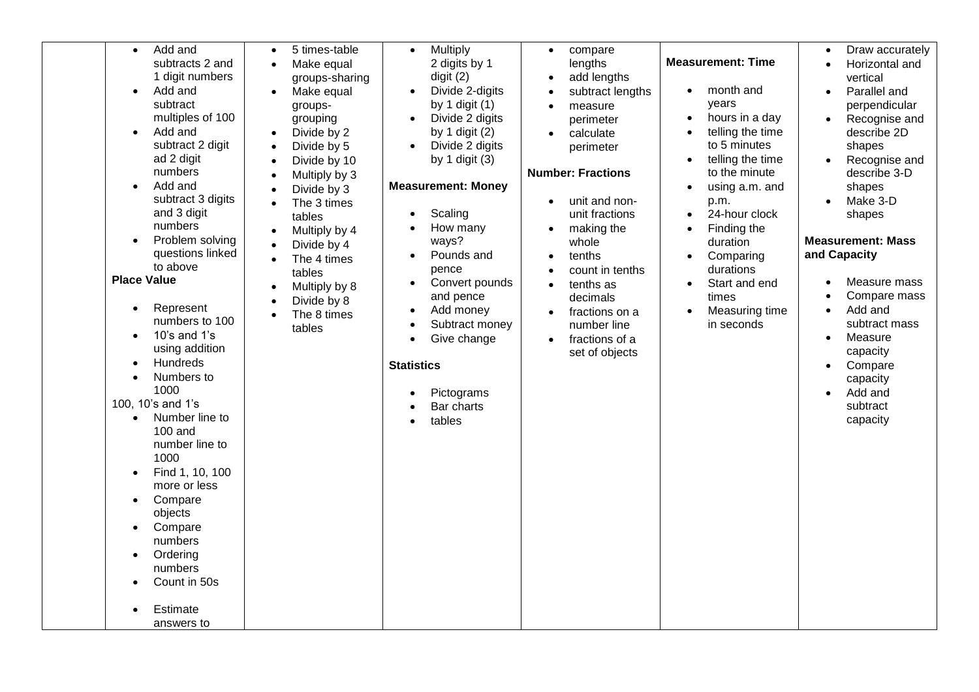| Add and<br>$\bullet$<br>subtracts 2 and<br>1 digit numbers<br>Add and<br>$\bullet$<br>subtract<br>multiples of 100<br>Add and<br>subtract 2 digit<br>ad 2 digit<br>numbers<br>Add and<br>subtract 3 digits<br>and 3 digit<br>numbers<br>Problem solving<br>questions linked<br>to above<br><b>Place Value</b><br>Represent<br>$\bullet$<br>numbers to 100<br>10's and $1$ 's<br>$\bullet$<br>using addition<br>Hundreds<br>$\bullet$<br>Numbers to<br>1000<br>100, 10's and 1's<br>Number line to<br>$100$ and | 5 times-table<br>$\bullet$<br>Make equal<br>$\bullet$<br>groups-sharing<br>Make equal<br>$\bullet$<br>groups-<br>grouping<br>Divide by 2<br>$\bullet$<br>Divide by 5<br>$\bullet$<br>Divide by 10<br>$\bullet$<br>Multiply by 3<br>$\bullet$<br>Divide by 3<br>$\bullet$<br>The 3 times<br>$\bullet$<br>tables<br>Multiply by 4<br>$\bullet$<br>Divide by 4<br>$\bullet$<br>The 4 times<br>$\bullet$<br>tables<br>Multiply by 8<br>$\bullet$<br>Divide by 8<br>$\bullet$<br>The 8 times<br>$\bullet$<br>tables | Multiply<br>$\bullet$<br>2 digits by 1<br>digit(2)<br>Divide 2-digits<br>$\bullet$<br>by 1 digit $(1)$<br>Divide 2 digits<br>by 1 digit $(2)$<br>Divide 2 digits<br>$\bullet$<br>by 1 digit $(3)$<br><b>Measurement: Money</b><br>Scaling<br>How many<br>ways?<br>Pounds and<br>$\bullet$<br>pence<br>Convert pounds<br>and pence<br>Add money<br>Subtract money<br>Give change<br><b>Statistics</b><br>Pictograms<br>Bar charts<br>tables | compare<br>$\bullet$<br>lengths<br>add lengths<br>subtract lengths<br>measure<br>$\bullet$<br>perimeter<br>calculate<br>$\bullet$<br>perimeter<br><b>Number: Fractions</b><br>unit and non-<br>unit fractions<br>making the<br>whole<br>tenths<br>count in tenths<br>tenths as<br>decimals<br>fractions on a<br>number line<br>fractions of a<br>$\bullet$<br>set of objects | <b>Measurement: Time</b><br>month and<br>years<br>hours in a day<br>$\bullet$<br>telling the time<br>$\bullet$<br>to 5 minutes<br>telling the time<br>to the minute<br>using a.m. and<br>p.m.<br>24-hour clock<br>Finding the<br>duration<br>Comparing<br>durations<br>Start and end<br>$\bullet$<br>times<br>Measuring time<br>in seconds | Draw accurately<br>$\bullet$<br>Horizontal and<br>vertical<br>Parallel and<br>$\bullet$<br>perpendicular<br>Recognise and<br>describe 2D<br>shapes<br>Recognise and<br>$\bullet$<br>describe 3-D<br>shapes<br>Make 3-D<br>shapes<br><b>Measurement: Mass</b><br>and Capacity<br>Measure mass<br>$\bullet$<br>Compare mass<br>Add and<br>$\bullet$<br>subtract mass<br>Measure<br>$\bullet$<br>capacity<br>Compare<br>$\bullet$<br>capacity<br>Add and<br>$\bullet$<br>subtract<br>capacity |
|----------------------------------------------------------------------------------------------------------------------------------------------------------------------------------------------------------------------------------------------------------------------------------------------------------------------------------------------------------------------------------------------------------------------------------------------------------------------------------------------------------------|----------------------------------------------------------------------------------------------------------------------------------------------------------------------------------------------------------------------------------------------------------------------------------------------------------------------------------------------------------------------------------------------------------------------------------------------------------------------------------------------------------------|--------------------------------------------------------------------------------------------------------------------------------------------------------------------------------------------------------------------------------------------------------------------------------------------------------------------------------------------------------------------------------------------------------------------------------------------|------------------------------------------------------------------------------------------------------------------------------------------------------------------------------------------------------------------------------------------------------------------------------------------------------------------------------------------------------------------------------|--------------------------------------------------------------------------------------------------------------------------------------------------------------------------------------------------------------------------------------------------------------------------------------------------------------------------------------------|--------------------------------------------------------------------------------------------------------------------------------------------------------------------------------------------------------------------------------------------------------------------------------------------------------------------------------------------------------------------------------------------------------------------------------------------------------------------------------------------|
|                                                                                                                                                                                                                                                                                                                                                                                                                                                                                                                |                                                                                                                                                                                                                                                                                                                                                                                                                                                                                                                |                                                                                                                                                                                                                                                                                                                                                                                                                                            |                                                                                                                                                                                                                                                                                                                                                                              |                                                                                                                                                                                                                                                                                                                                            |                                                                                                                                                                                                                                                                                                                                                                                                                                                                                            |
|                                                                                                                                                                                                                                                                                                                                                                                                                                                                                                                |                                                                                                                                                                                                                                                                                                                                                                                                                                                                                                                |                                                                                                                                                                                                                                                                                                                                                                                                                                            |                                                                                                                                                                                                                                                                                                                                                                              |                                                                                                                                                                                                                                                                                                                                            |                                                                                                                                                                                                                                                                                                                                                                                                                                                                                            |
|                                                                                                                                                                                                                                                                                                                                                                                                                                                                                                                |                                                                                                                                                                                                                                                                                                                                                                                                                                                                                                                |                                                                                                                                                                                                                                                                                                                                                                                                                                            |                                                                                                                                                                                                                                                                                                                                                                              |                                                                                                                                                                                                                                                                                                                                            |                                                                                                                                                                                                                                                                                                                                                                                                                                                                                            |
|                                                                                                                                                                                                                                                                                                                                                                                                                                                                                                                |                                                                                                                                                                                                                                                                                                                                                                                                                                                                                                                |                                                                                                                                                                                                                                                                                                                                                                                                                                            |                                                                                                                                                                                                                                                                                                                                                                              |                                                                                                                                                                                                                                                                                                                                            |                                                                                                                                                                                                                                                                                                                                                                                                                                                                                            |
|                                                                                                                                                                                                                                                                                                                                                                                                                                                                                                                |                                                                                                                                                                                                                                                                                                                                                                                                                                                                                                                |                                                                                                                                                                                                                                                                                                                                                                                                                                            |                                                                                                                                                                                                                                                                                                                                                                              |                                                                                                                                                                                                                                                                                                                                            |                                                                                                                                                                                                                                                                                                                                                                                                                                                                                            |
| number line to<br>1000<br>Find 1, 10, 100<br>$\bullet$<br>more or less<br>Compare<br>$\bullet$<br>objects<br>Compare<br>$\bullet$<br>numbers<br>Ordering<br>$\bullet$<br>numbers<br>Count in 50s                                                                                                                                                                                                                                                                                                               |                                                                                                                                                                                                                                                                                                                                                                                                                                                                                                                |                                                                                                                                                                                                                                                                                                                                                                                                                                            |                                                                                                                                                                                                                                                                                                                                                                              |                                                                                                                                                                                                                                                                                                                                            |                                                                                                                                                                                                                                                                                                                                                                                                                                                                                            |
| Estimate<br>answers to                                                                                                                                                                                                                                                                                                                                                                                                                                                                                         |                                                                                                                                                                                                                                                                                                                                                                                                                                                                                                                |                                                                                                                                                                                                                                                                                                                                                                                                                                            |                                                                                                                                                                                                                                                                                                                                                                              |                                                                                                                                                                                                                                                                                                                                            |                                                                                                                                                                                                                                                                                                                                                                                                                                                                                            |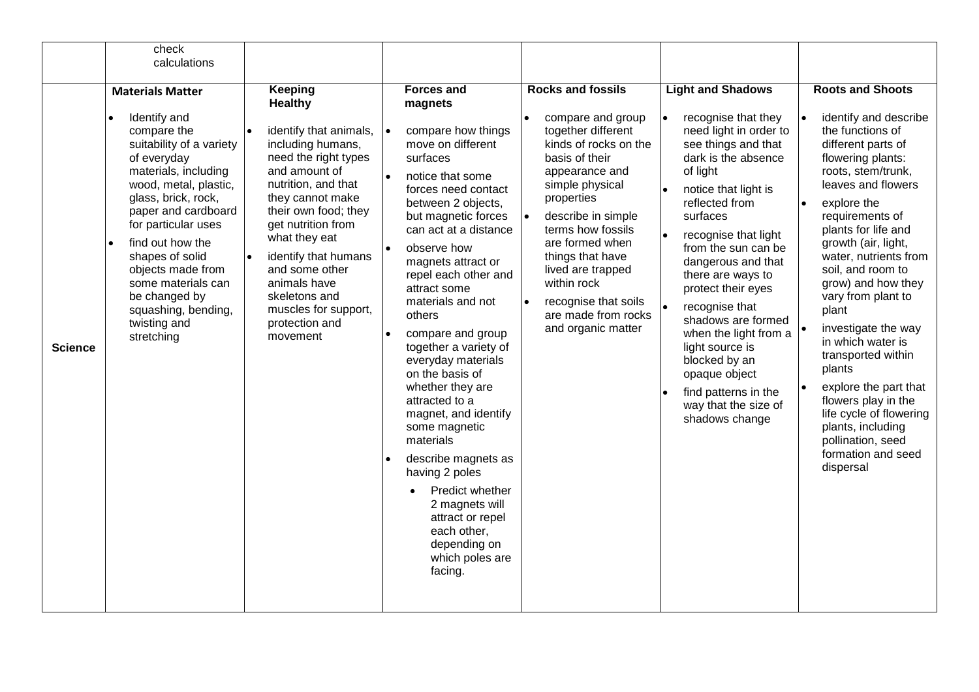|                | calculations                                                                                                                                                                                                                                                                                                                                                                                 |                                                                                                                                                                                                                                                                                                                                                              |                                                                                                                                                                                                                                                                                                                                                                                                                                                                                                                                                                 |                                                                                                                                                                                                                                                                                                                                                              |                                                                                                                                                                                                                                                                                                                                                                                                                                                                                                                |                                                                                                                                                                                                                                                                                                                                                                                                                                                                                                                                                                                    |
|----------------|----------------------------------------------------------------------------------------------------------------------------------------------------------------------------------------------------------------------------------------------------------------------------------------------------------------------------------------------------------------------------------------------|--------------------------------------------------------------------------------------------------------------------------------------------------------------------------------------------------------------------------------------------------------------------------------------------------------------------------------------------------------------|-----------------------------------------------------------------------------------------------------------------------------------------------------------------------------------------------------------------------------------------------------------------------------------------------------------------------------------------------------------------------------------------------------------------------------------------------------------------------------------------------------------------------------------------------------------------|--------------------------------------------------------------------------------------------------------------------------------------------------------------------------------------------------------------------------------------------------------------------------------------------------------------------------------------------------------------|----------------------------------------------------------------------------------------------------------------------------------------------------------------------------------------------------------------------------------------------------------------------------------------------------------------------------------------------------------------------------------------------------------------------------------------------------------------------------------------------------------------|------------------------------------------------------------------------------------------------------------------------------------------------------------------------------------------------------------------------------------------------------------------------------------------------------------------------------------------------------------------------------------------------------------------------------------------------------------------------------------------------------------------------------------------------------------------------------------|
|                |                                                                                                                                                                                                                                                                                                                                                                                              |                                                                                                                                                                                                                                                                                                                                                              |                                                                                                                                                                                                                                                                                                                                                                                                                                                                                                                                                                 |                                                                                                                                                                                                                                                                                                                                                              |                                                                                                                                                                                                                                                                                                                                                                                                                                                                                                                |                                                                                                                                                                                                                                                                                                                                                                                                                                                                                                                                                                                    |
| <b>Science</b> | <b>Materials Matter</b><br>Identify and<br>compare the<br>suitability of a variety<br>of everyday<br>materials, including<br>wood, metal, plastic,<br>glass, brick, rock,<br>paper and cardboard<br>for particular uses<br>find out how the<br>$\bullet$<br>shapes of solid<br>objects made from<br>some materials can<br>be changed by<br>squashing, bending,<br>twisting and<br>stretching | Keeping<br><b>Healthy</b><br>identify that animals,<br>including humans,<br>need the right types<br>and amount of<br>nutrition, and that<br>they cannot make<br>their own food; they<br>get nutrition from<br>what they eat<br>identify that humans<br>and some other<br>animals have<br>skeletons and<br>muscles for support,<br>protection and<br>movement | <b>Forces and</b><br>magnets<br>compare how things<br>move on different<br>surfaces<br>notice that some<br>forces need contact<br>between 2 objects,<br>but magnetic forces<br>can act at a distance<br>observe how<br>magnets attract or<br>repel each other and<br>attract some<br>materials and not<br>others<br>compare and group<br>together a variety of<br>everyday materials<br>on the basis of<br>whether they are<br>attracted to a<br>magnet, and identify<br>some magnetic<br>materials<br>describe magnets as<br>having 2 poles<br>Predict whether | <b>Rocks and fossils</b><br>compare and group<br>together different<br>kinds of rocks on the<br>basis of their<br>appearance and<br>simple physical<br>properties<br>describe in simple<br>terms how fossils<br>are formed when<br>things that have<br>lived are trapped<br>within rock<br>recognise that soils<br>are made from rocks<br>and organic matter | <b>Light and Shadows</b><br>recognise that they<br>$\bullet$<br>need light in order to<br>see things and that<br>dark is the absence<br>of light<br>notice that light is<br>reflected from<br>surfaces<br>recognise that light<br>from the sun can be<br>dangerous and that<br>there are ways to<br>protect their eyes<br>recognise that<br>shadows are formed<br>when the light from a<br>light source is<br>blocked by an<br>opaque object<br>find patterns in the<br>way that the size of<br>shadows change | <b>Roots and Shoots</b><br>identify and describe<br>the functions of<br>different parts of<br>flowering plants:<br>roots, stem/trunk,<br>leaves and flowers<br>explore the<br>requirements of<br>plants for life and<br>growth (air, light,<br>water, nutrients from<br>soil, and room to<br>grow) and how they<br>vary from plant to<br>plant<br>investigate the way<br>in which water is<br>transported within<br>plants<br>explore the part that<br>flowers play in the<br>life cycle of flowering<br>plants, including<br>pollination, seed<br>formation and seed<br>dispersal |
|                |                                                                                                                                                                                                                                                                                                                                                                                              |                                                                                                                                                                                                                                                                                                                                                              | 2 magnets will<br>attract or repel<br>each other,<br>depending on<br>which poles are<br>facing.                                                                                                                                                                                                                                                                                                                                                                                                                                                                 |                                                                                                                                                                                                                                                                                                                                                              |                                                                                                                                                                                                                                                                                                                                                                                                                                                                                                                |                                                                                                                                                                                                                                                                                                                                                                                                                                                                                                                                                                                    |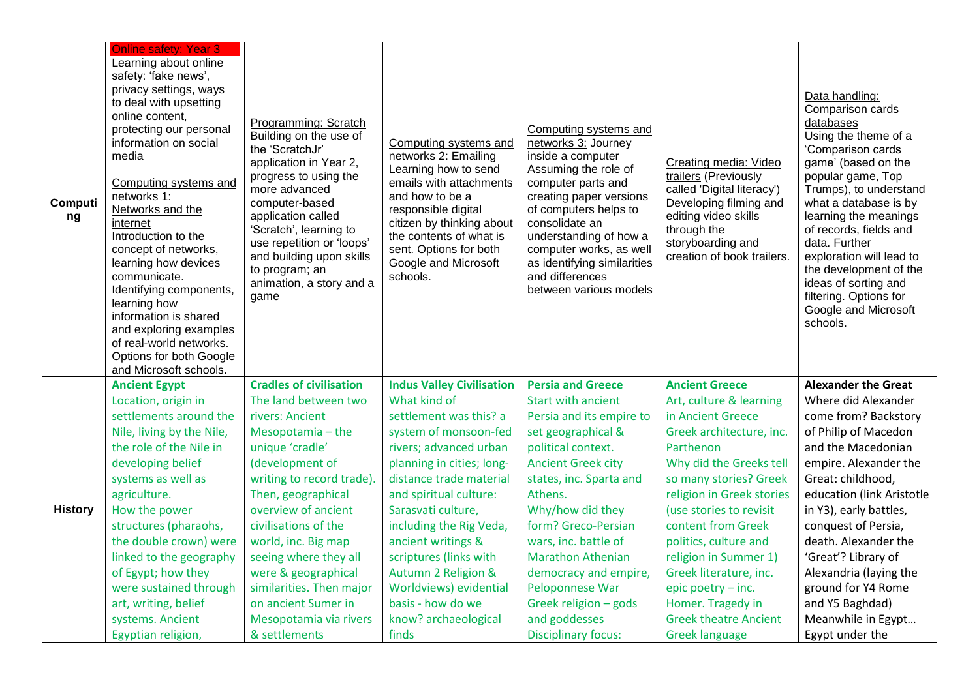| Computi<br>ng  | <b>Online safety: Year 3</b><br>Learning about online<br>safety: 'fake news',<br>privacy settings, ways<br>to deal with upsetting<br>online content,<br>protecting our personal<br>information on social<br>media<br>Computing systems and<br>networks 1:<br>Networks and the<br>internet<br>Introduction to the<br>concept of networks,<br>learning how devices<br>communicate.<br>Identifying components,<br>learning how<br>information is shared<br>and exploring examples<br>of real-world networks.<br>Options for both Google<br>and Microsoft schools. | Programming: Scratch<br>Building on the use of<br>the 'ScratchJr'<br>application in Year 2,<br>progress to using the<br>more advanced<br>computer-based<br>application called<br>'Scratch', learning to<br>use repetition or 'loops'<br>and building upon skills<br>to program; an<br>animation, a story and a<br>game | Computing systems and<br>networks 2: Emailing<br>Learning how to send<br>emails with attachments<br>and how to be a<br>responsible digital<br>citizen by thinking about<br>the contents of what is<br>sent. Options for both<br>Google and Microsoft<br>schools. | Computing systems and<br>networks 3: Journey<br>inside a computer<br>Assuming the role of<br>computer parts and<br>creating paper versions<br>of computers helps to<br>consolidate an<br>understanding of how a<br>computer works, as well<br>as identifying similarities<br>and differences<br>between various models | Creating media: Video<br>trailers (Previously<br>called 'Digital literacy')<br>Developing filming and<br>editing video skills<br>through the<br>storyboarding and<br>creation of book trailers. | Data handling:<br>Comparison cards<br>databases<br>Using the theme of a<br>'Comparison cards<br>game' (based on the<br>popular game, Top<br>Trumps), to understand<br>what a database is by<br>learning the meanings<br>of records, fields and<br>data. Further<br>exploration will lead to<br>the development of the<br>ideas of sorting and<br>filtering. Options for<br>Google and Microsoft<br>schools. |
|----------------|----------------------------------------------------------------------------------------------------------------------------------------------------------------------------------------------------------------------------------------------------------------------------------------------------------------------------------------------------------------------------------------------------------------------------------------------------------------------------------------------------------------------------------------------------------------|------------------------------------------------------------------------------------------------------------------------------------------------------------------------------------------------------------------------------------------------------------------------------------------------------------------------|------------------------------------------------------------------------------------------------------------------------------------------------------------------------------------------------------------------------------------------------------------------|------------------------------------------------------------------------------------------------------------------------------------------------------------------------------------------------------------------------------------------------------------------------------------------------------------------------|-------------------------------------------------------------------------------------------------------------------------------------------------------------------------------------------------|-------------------------------------------------------------------------------------------------------------------------------------------------------------------------------------------------------------------------------------------------------------------------------------------------------------------------------------------------------------------------------------------------------------|
| <b>History</b> | <b>Ancient Egypt</b>                                                                                                                                                                                                                                                                                                                                                                                                                                                                                                                                           | <b>Cradles of civilisation</b>                                                                                                                                                                                                                                                                                         | <b>Indus Valley Civilisation</b>                                                                                                                                                                                                                                 | <b>Persia and Greece</b>                                                                                                                                                                                                                                                                                               | <b>Ancient Greece</b>                                                                                                                                                                           | <b>Alexander the Great</b>                                                                                                                                                                                                                                                                                                                                                                                  |
|                | Location, origin in                                                                                                                                                                                                                                                                                                                                                                                                                                                                                                                                            | The land between two                                                                                                                                                                                                                                                                                                   | What kind of                                                                                                                                                                                                                                                     | <b>Start with ancient</b>                                                                                                                                                                                                                                                                                              | Art, culture & learning                                                                                                                                                                         | Where did Alexander                                                                                                                                                                                                                                                                                                                                                                                         |
|                | settlements around the                                                                                                                                                                                                                                                                                                                                                                                                                                                                                                                                         | rivers: Ancient                                                                                                                                                                                                                                                                                                        | settlement was this? a                                                                                                                                                                                                                                           | Persia and its empire to                                                                                                                                                                                                                                                                                               | in Ancient Greece                                                                                                                                                                               | come from? Backstory                                                                                                                                                                                                                                                                                                                                                                                        |
|                | Nile, living by the Nile,                                                                                                                                                                                                                                                                                                                                                                                                                                                                                                                                      | Mesopotamia - the                                                                                                                                                                                                                                                                                                      | system of monsoon-fed                                                                                                                                                                                                                                            | set geographical &                                                                                                                                                                                                                                                                                                     | Greek architecture, inc.                                                                                                                                                                        | of Philip of Macedon                                                                                                                                                                                                                                                                                                                                                                                        |
|                | the role of the Nile in                                                                                                                                                                                                                                                                                                                                                                                                                                                                                                                                        | unique 'cradle'                                                                                                                                                                                                                                                                                                        | rivers; advanced urban                                                                                                                                                                                                                                           | political context.                                                                                                                                                                                                                                                                                                     | Parthenon                                                                                                                                                                                       | and the Macedonian                                                                                                                                                                                                                                                                                                                                                                                          |
|                | developing belief                                                                                                                                                                                                                                                                                                                                                                                                                                                                                                                                              | (development of                                                                                                                                                                                                                                                                                                        | planning in cities; long-                                                                                                                                                                                                                                        | <b>Ancient Greek city</b>                                                                                                                                                                                                                                                                                              | Why did the Greeks tell                                                                                                                                                                         | empire. Alexander the                                                                                                                                                                                                                                                                                                                                                                                       |
|                | systems as well as                                                                                                                                                                                                                                                                                                                                                                                                                                                                                                                                             | writing to record trade).                                                                                                                                                                                                                                                                                              | distance trade material                                                                                                                                                                                                                                          | states, inc. Sparta and                                                                                                                                                                                                                                                                                                | so many stories? Greek                                                                                                                                                                          | Great: childhood,                                                                                                                                                                                                                                                                                                                                                                                           |
|                | agriculture.                                                                                                                                                                                                                                                                                                                                                                                                                                                                                                                                                   | Then, geographical                                                                                                                                                                                                                                                                                                     | and spiritual culture:                                                                                                                                                                                                                                           | Athens.                                                                                                                                                                                                                                                                                                                | religion in Greek stories                                                                                                                                                                       | education (link Aristotle                                                                                                                                                                                                                                                                                                                                                                                   |
|                | How the power                                                                                                                                                                                                                                                                                                                                                                                                                                                                                                                                                  | overview of ancient                                                                                                                                                                                                                                                                                                    | Sarasvati culture,                                                                                                                                                                                                                                               | Why/how did they                                                                                                                                                                                                                                                                                                       | (use stories to revisit                                                                                                                                                                         | in Y3), early battles,                                                                                                                                                                                                                                                                                                                                                                                      |
|                | structures (pharaohs,                                                                                                                                                                                                                                                                                                                                                                                                                                                                                                                                          | civilisations of the                                                                                                                                                                                                                                                                                                   | including the Rig Veda,                                                                                                                                                                                                                                          | form? Greco-Persian                                                                                                                                                                                                                                                                                                    | content from Greek                                                                                                                                                                              | conquest of Persia,                                                                                                                                                                                                                                                                                                                                                                                         |
|                | the double crown) were                                                                                                                                                                                                                                                                                                                                                                                                                                                                                                                                         | world, inc. Big map                                                                                                                                                                                                                                                                                                    | ancient writings &                                                                                                                                                                                                                                               | wars, inc. battle of                                                                                                                                                                                                                                                                                                   | politics, culture and                                                                                                                                                                           | death. Alexander the                                                                                                                                                                                                                                                                                                                                                                                        |
|                | linked to the geography                                                                                                                                                                                                                                                                                                                                                                                                                                                                                                                                        | seeing where they all                                                                                                                                                                                                                                                                                                  | scriptures (links with                                                                                                                                                                                                                                           | <b>Marathon Athenian</b>                                                                                                                                                                                                                                                                                               | religion in Summer 1)                                                                                                                                                                           | 'Great'? Library of                                                                                                                                                                                                                                                                                                                                                                                         |
|                | of Egypt; how they                                                                                                                                                                                                                                                                                                                                                                                                                                                                                                                                             | were & geographical                                                                                                                                                                                                                                                                                                    | <b>Autumn 2 Religion &amp;</b>                                                                                                                                                                                                                                   | democracy and empire,                                                                                                                                                                                                                                                                                                  | Greek literature, inc.                                                                                                                                                                          | Alexandria (laying the                                                                                                                                                                                                                                                                                                                                                                                      |
|                | were sustained through                                                                                                                                                                                                                                                                                                                                                                                                                                                                                                                                         | similarities. Then major                                                                                                                                                                                                                                                                                               | Worldviews) evidential                                                                                                                                                                                                                                           | Peloponnese War                                                                                                                                                                                                                                                                                                        | epic poetry - inc.                                                                                                                                                                              | ground for Y4 Rome                                                                                                                                                                                                                                                                                                                                                                                          |
|                | art, writing, belief                                                                                                                                                                                                                                                                                                                                                                                                                                                                                                                                           | on ancient Sumer in                                                                                                                                                                                                                                                                                                    | basis - how do we                                                                                                                                                                                                                                                | Greek religion - gods                                                                                                                                                                                                                                                                                                  | Homer. Tragedy in                                                                                                                                                                               | and Y5 Baghdad)                                                                                                                                                                                                                                                                                                                                                                                             |
|                | systems. Ancient                                                                                                                                                                                                                                                                                                                                                                                                                                                                                                                                               | Mesopotamia via rivers                                                                                                                                                                                                                                                                                                 | know? archaeological                                                                                                                                                                                                                                             | and goddesses                                                                                                                                                                                                                                                                                                          | <b>Greek theatre Ancient</b>                                                                                                                                                                    | Meanwhile in Egypt                                                                                                                                                                                                                                                                                                                                                                                          |
|                | Egyptian religion,                                                                                                                                                                                                                                                                                                                                                                                                                                                                                                                                             | & settlements                                                                                                                                                                                                                                                                                                          | finds                                                                                                                                                                                                                                                            | <b>Disciplinary focus:</b>                                                                                                                                                                                                                                                                                             | <b>Greek language</b>                                                                                                                                                                           | Egypt under the                                                                                                                                                                                                                                                                                                                                                                                             |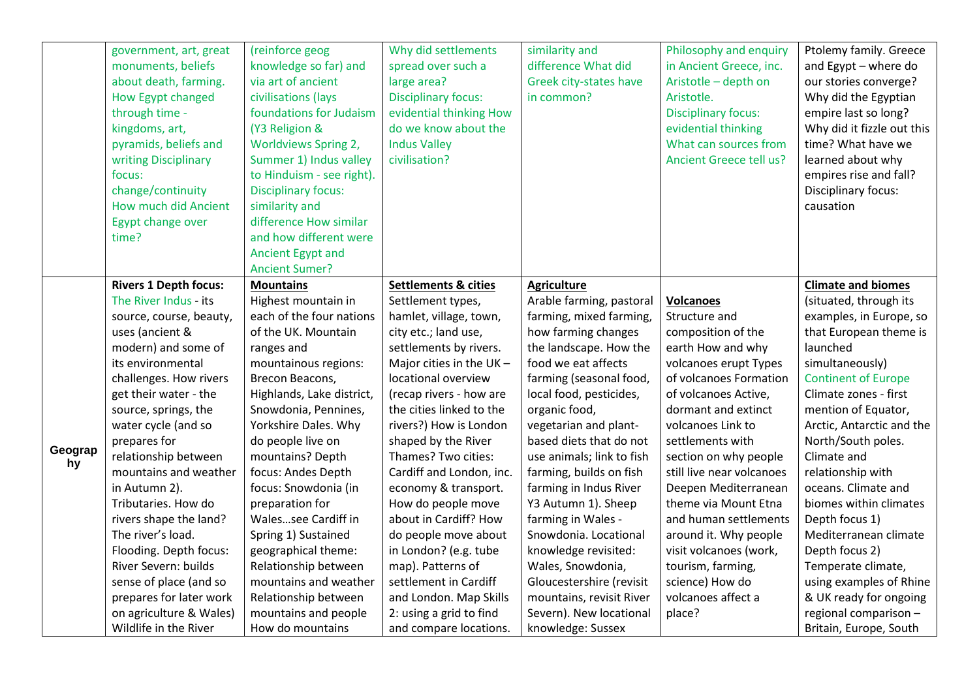|         | government, art, great<br>monuments, beliefs<br>about death, farming.<br>How Egypt changed<br>through time -<br>kingdoms, art,<br>pyramids, beliefs and<br>writing Disciplinary<br>focus:<br>change/continuity<br>How much did Ancient<br>Egypt change over<br>time? | (reinforce geog<br>knowledge so far) and<br>via art of ancient<br>civilisations (lays<br>foundations for Judaism<br>(Y3 Religion &<br><b>Worldviews Spring 2,</b><br>Summer 1) Indus valley<br>to Hinduism - see right).<br><b>Disciplinary focus:</b><br>similarity and<br>difference How similar<br>and how different were<br>Ancient Egypt and<br><b>Ancient Sumer?</b> | Why did settlements<br>spread over such a<br>large area?<br><b>Disciplinary focus:</b><br>evidential thinking How<br>do we know about the<br><b>Indus Valley</b><br>civilisation? | similarity and<br>difference What did<br>Greek city-states have<br>in common? | Philosophy and enquiry<br>in Ancient Greece, inc.<br>Aristotle - depth on<br>Aristotle.<br><b>Disciplinary focus:</b><br>evidential thinking<br>What can sources from<br><b>Ancient Greece tell us?</b> | Ptolemy family. Greece<br>and Egypt - where do<br>our stories converge?<br>Why did the Egyptian<br>empire last so long?<br>Why did it fizzle out this<br>time? What have we<br>learned about why<br>empires rise and fall?<br>Disciplinary focus:<br>causation |
|---------|----------------------------------------------------------------------------------------------------------------------------------------------------------------------------------------------------------------------------------------------------------------------|----------------------------------------------------------------------------------------------------------------------------------------------------------------------------------------------------------------------------------------------------------------------------------------------------------------------------------------------------------------------------|-----------------------------------------------------------------------------------------------------------------------------------------------------------------------------------|-------------------------------------------------------------------------------|---------------------------------------------------------------------------------------------------------------------------------------------------------------------------------------------------------|----------------------------------------------------------------------------------------------------------------------------------------------------------------------------------------------------------------------------------------------------------------|
|         | <b>Rivers 1 Depth focus:</b>                                                                                                                                                                                                                                         | <b>Mountains</b>                                                                                                                                                                                                                                                                                                                                                           | <b>Settlements &amp; cities</b>                                                                                                                                                   | <b>Agriculture</b>                                                            |                                                                                                                                                                                                         | <b>Climate and biomes</b>                                                                                                                                                                                                                                      |
|         | The River Indus - its                                                                                                                                                                                                                                                | Highest mountain in                                                                                                                                                                                                                                                                                                                                                        | Settlement types,                                                                                                                                                                 | Arable farming, pastoral                                                      | <b>Volcanoes</b>                                                                                                                                                                                        | (situated, through its                                                                                                                                                                                                                                         |
|         | source, course, beauty,                                                                                                                                                                                                                                              | each of the four nations                                                                                                                                                                                                                                                                                                                                                   | hamlet, village, town,                                                                                                                                                            | farming, mixed farming,                                                       | Structure and                                                                                                                                                                                           | examples, in Europe, so                                                                                                                                                                                                                                        |
|         | uses (ancient &                                                                                                                                                                                                                                                      | of the UK. Mountain                                                                                                                                                                                                                                                                                                                                                        | city etc.; land use,                                                                                                                                                              | how farming changes                                                           | composition of the                                                                                                                                                                                      | that European theme is                                                                                                                                                                                                                                         |
|         | modern) and some of                                                                                                                                                                                                                                                  | ranges and                                                                                                                                                                                                                                                                                                                                                                 | settlements by rivers.                                                                                                                                                            | the landscape. How the                                                        | earth How and why                                                                                                                                                                                       | launched                                                                                                                                                                                                                                                       |
|         | its environmental                                                                                                                                                                                                                                                    | mountainous regions:                                                                                                                                                                                                                                                                                                                                                       | Major cities in the $UK -$                                                                                                                                                        | food we eat affects                                                           | volcanoes erupt Types                                                                                                                                                                                   | simultaneously)                                                                                                                                                                                                                                                |
|         | challenges. How rivers                                                                                                                                                                                                                                               | Brecon Beacons,                                                                                                                                                                                                                                                                                                                                                            | locational overview                                                                                                                                                               | farming (seasonal food,                                                       | of volcanoes Formation                                                                                                                                                                                  | <b>Continent of Europe</b>                                                                                                                                                                                                                                     |
|         | get their water - the                                                                                                                                                                                                                                                | Highlands, Lake district,                                                                                                                                                                                                                                                                                                                                                  | (recap rivers - how are                                                                                                                                                           | local food, pesticides,                                                       | of volcanoes Active,                                                                                                                                                                                    | Climate zones - first                                                                                                                                                                                                                                          |
|         | source, springs, the                                                                                                                                                                                                                                                 | Snowdonia, Pennines,                                                                                                                                                                                                                                                                                                                                                       | the cities linked to the                                                                                                                                                          | organic food,                                                                 | dormant and extinct                                                                                                                                                                                     | mention of Equator,                                                                                                                                                                                                                                            |
|         | water cycle (and so                                                                                                                                                                                                                                                  | Yorkshire Dales. Why                                                                                                                                                                                                                                                                                                                                                       | rivers?) How is London                                                                                                                                                            | vegetarian and plant-                                                         | volcanoes Link to                                                                                                                                                                                       | Arctic, Antarctic and the                                                                                                                                                                                                                                      |
| Geograp | prepares for                                                                                                                                                                                                                                                         | do people live on                                                                                                                                                                                                                                                                                                                                                          | shaped by the River                                                                                                                                                               | based diets that do not                                                       | settlements with                                                                                                                                                                                        | North/South poles.                                                                                                                                                                                                                                             |
| hy      | relationship between                                                                                                                                                                                                                                                 | mountains? Depth                                                                                                                                                                                                                                                                                                                                                           | Thames? Two cities:                                                                                                                                                               | use animals; link to fish                                                     | section on why people                                                                                                                                                                                   | Climate and                                                                                                                                                                                                                                                    |
|         | mountains and weather                                                                                                                                                                                                                                                | focus: Andes Depth                                                                                                                                                                                                                                                                                                                                                         | Cardiff and London, inc.                                                                                                                                                          | farming, builds on fish                                                       | still live near volcanoes                                                                                                                                                                               | relationship with                                                                                                                                                                                                                                              |
|         | in Autumn 2).                                                                                                                                                                                                                                                        | focus: Snowdonia (in                                                                                                                                                                                                                                                                                                                                                       | economy & transport.                                                                                                                                                              | farming in Indus River                                                        | Deepen Mediterranean                                                                                                                                                                                    | oceans. Climate and                                                                                                                                                                                                                                            |
|         | Tributaries. How do                                                                                                                                                                                                                                                  | preparation for                                                                                                                                                                                                                                                                                                                                                            | How do people move                                                                                                                                                                | Y3 Autumn 1). Sheep                                                           | theme via Mount Etna                                                                                                                                                                                    | biomes within climates                                                                                                                                                                                                                                         |
|         | rivers shape the land?                                                                                                                                                                                                                                               | Walessee Cardiff in                                                                                                                                                                                                                                                                                                                                                        | about in Cardiff? How                                                                                                                                                             | farming in Wales -                                                            | and human settlements                                                                                                                                                                                   | Depth focus 1)                                                                                                                                                                                                                                                 |
|         | The river's load.                                                                                                                                                                                                                                                    | Spring 1) Sustained                                                                                                                                                                                                                                                                                                                                                        | do people move about                                                                                                                                                              | Snowdonia. Locational                                                         | around it. Why people                                                                                                                                                                                   | Mediterranean climate                                                                                                                                                                                                                                          |
|         | Flooding. Depth focus:                                                                                                                                                                                                                                               | geographical theme:                                                                                                                                                                                                                                                                                                                                                        | in London? (e.g. tube                                                                                                                                                             | knowledge revisited:                                                          | visit volcanoes (work,                                                                                                                                                                                  | Depth focus 2)                                                                                                                                                                                                                                                 |
|         | River Severn: builds                                                                                                                                                                                                                                                 | Relationship between                                                                                                                                                                                                                                                                                                                                                       | map). Patterns of                                                                                                                                                                 | Wales, Snowdonia,                                                             | tourism, farming,                                                                                                                                                                                       | Temperate climate,                                                                                                                                                                                                                                             |
|         | sense of place (and so                                                                                                                                                                                                                                               | mountains and weather                                                                                                                                                                                                                                                                                                                                                      | settlement in Cardiff                                                                                                                                                             | Gloucestershire (revisit                                                      | science) How do                                                                                                                                                                                         | using examples of Rhine                                                                                                                                                                                                                                        |
|         | prepares for later work                                                                                                                                                                                                                                              | Relationship between                                                                                                                                                                                                                                                                                                                                                       | and London. Map Skills                                                                                                                                                            | mountains, revisit River                                                      | volcanoes affect a                                                                                                                                                                                      | & UK ready for ongoing                                                                                                                                                                                                                                         |
|         | on agriculture & Wales)                                                                                                                                                                                                                                              | mountains and people                                                                                                                                                                                                                                                                                                                                                       | 2: using a grid to find                                                                                                                                                           | Severn). New locational                                                       | place?                                                                                                                                                                                                  | regional comparison -                                                                                                                                                                                                                                          |
|         | Wildlife in the River                                                                                                                                                                                                                                                | How do mountains                                                                                                                                                                                                                                                                                                                                                           | and compare locations.                                                                                                                                                            | knowledge: Sussex                                                             |                                                                                                                                                                                                         | Britain, Europe, South                                                                                                                                                                                                                                         |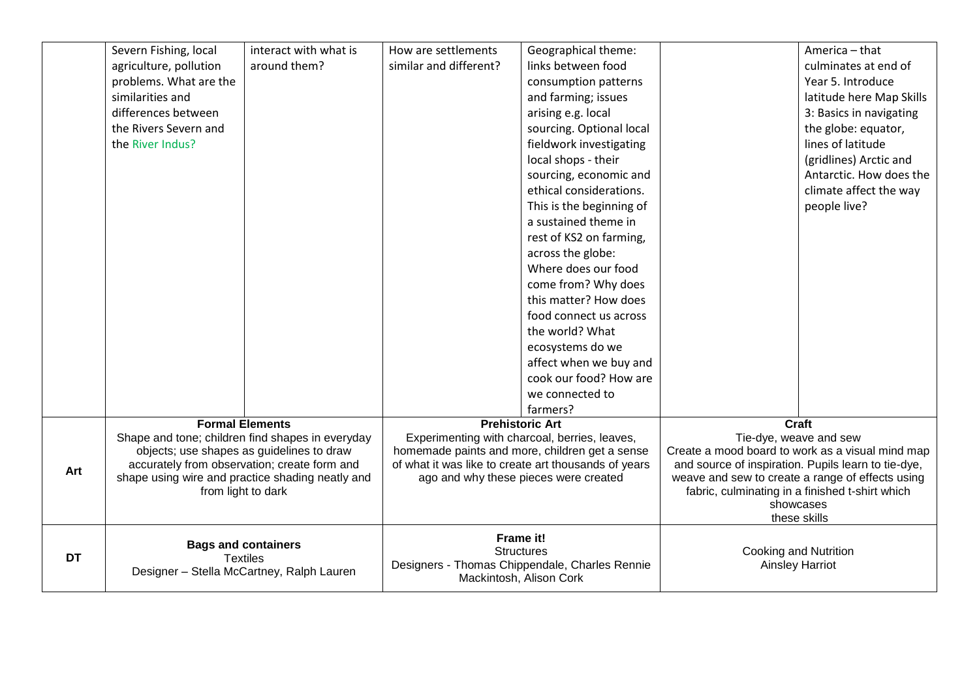|           | Severn Fishing, local                                                                         | interact with what is | How are settlements                                                       | Geographical theme:                                                                             |                                                     | America - that                                   |
|-----------|-----------------------------------------------------------------------------------------------|-----------------------|---------------------------------------------------------------------------|-------------------------------------------------------------------------------------------------|-----------------------------------------------------|--------------------------------------------------|
|           | agriculture, pollution                                                                        | around them?          | similar and different?                                                    | links between food                                                                              |                                                     | culminates at end of                             |
|           | problems. What are the                                                                        |                       |                                                                           | consumption patterns                                                                            |                                                     | Year 5. Introduce                                |
|           | similarities and                                                                              |                       |                                                                           | and farming; issues                                                                             |                                                     | latitude here Map Skills                         |
|           | differences between                                                                           |                       |                                                                           | arising e.g. local                                                                              |                                                     | 3: Basics in navigating                          |
|           | the Rivers Severn and                                                                         |                       |                                                                           | sourcing. Optional local                                                                        |                                                     | the globe: equator,                              |
|           | the River Indus?                                                                              |                       |                                                                           | fieldwork investigating                                                                         |                                                     | lines of latitude                                |
|           |                                                                                               |                       |                                                                           | local shops - their                                                                             |                                                     | (gridlines) Arctic and                           |
|           |                                                                                               |                       |                                                                           | sourcing, economic and                                                                          |                                                     | Antarctic. How does the                          |
|           |                                                                                               |                       |                                                                           | ethical considerations.                                                                         |                                                     | climate affect the way                           |
|           |                                                                                               |                       |                                                                           | This is the beginning of                                                                        |                                                     | people live?                                     |
|           |                                                                                               |                       |                                                                           | a sustained theme in                                                                            |                                                     |                                                  |
|           |                                                                                               |                       |                                                                           | rest of KS2 on farming,                                                                         |                                                     |                                                  |
|           |                                                                                               |                       |                                                                           | across the globe:                                                                               |                                                     |                                                  |
|           |                                                                                               |                       |                                                                           | Where does our food                                                                             |                                                     |                                                  |
|           |                                                                                               |                       |                                                                           | come from? Why does                                                                             |                                                     |                                                  |
|           |                                                                                               |                       |                                                                           | this matter? How does                                                                           |                                                     |                                                  |
|           |                                                                                               |                       |                                                                           | food connect us across                                                                          |                                                     |                                                  |
|           |                                                                                               |                       |                                                                           | the world? What                                                                                 |                                                     |                                                  |
|           |                                                                                               |                       |                                                                           | ecosystems do we                                                                                |                                                     |                                                  |
|           |                                                                                               |                       |                                                                           | affect when we buy and                                                                          |                                                     |                                                  |
|           |                                                                                               |                       |                                                                           | cook our food? How are                                                                          |                                                     |                                                  |
|           |                                                                                               |                       |                                                                           | we connected to                                                                                 |                                                     |                                                  |
|           |                                                                                               |                       |                                                                           | farmers?                                                                                        |                                                     |                                                  |
|           | <b>Formal Elements</b>                                                                        |                       |                                                                           | <b>Prehistoric Art</b>                                                                          | <b>Craft</b>                                        |                                                  |
|           | Shape and tone; children find shapes in everyday<br>objects; use shapes as guidelines to draw |                       |                                                                           | Experimenting with charcoal, berries, leaves,<br>homemade paints and more, children get a sense | Tie-dye, weave and sew                              | Create a mood board to work as a visual mind map |
|           | accurately from observation; create form and                                                  |                       |                                                                           | of what it was like to create art thousands of years                                            | and source of inspiration. Pupils learn to tie-dye, |                                                  |
| Art       | shape using wire and practice shading neatly and                                              |                       |                                                                           | ago and why these pieces were created                                                           | weave and sew to create a range of effects using    |                                                  |
|           | from light to dark                                                                            |                       |                                                                           |                                                                                                 | fabric, culminating in a finished t-shirt which     |                                                  |
|           |                                                                                               |                       |                                                                           |                                                                                                 | showcases                                           |                                                  |
|           |                                                                                               |                       |                                                                           |                                                                                                 |                                                     | these skills                                     |
|           | <b>Bags and containers</b>                                                                    |                       |                                                                           | Frame it!                                                                                       |                                                     |                                                  |
| <b>DT</b> | <b>Textiles</b>                                                                               |                       |                                                                           | <b>Structures</b>                                                                               | Cooking and Nutrition                               |                                                  |
|           | Designer - Stella McCartney, Ralph Lauren                                                     |                       | Designers - Thomas Chippendale, Charles Rennie<br>Mackintosh, Alison Cork |                                                                                                 | <b>Ainsley Harriot</b>                              |                                                  |
|           |                                                                                               |                       |                                                                           |                                                                                                 |                                                     |                                                  |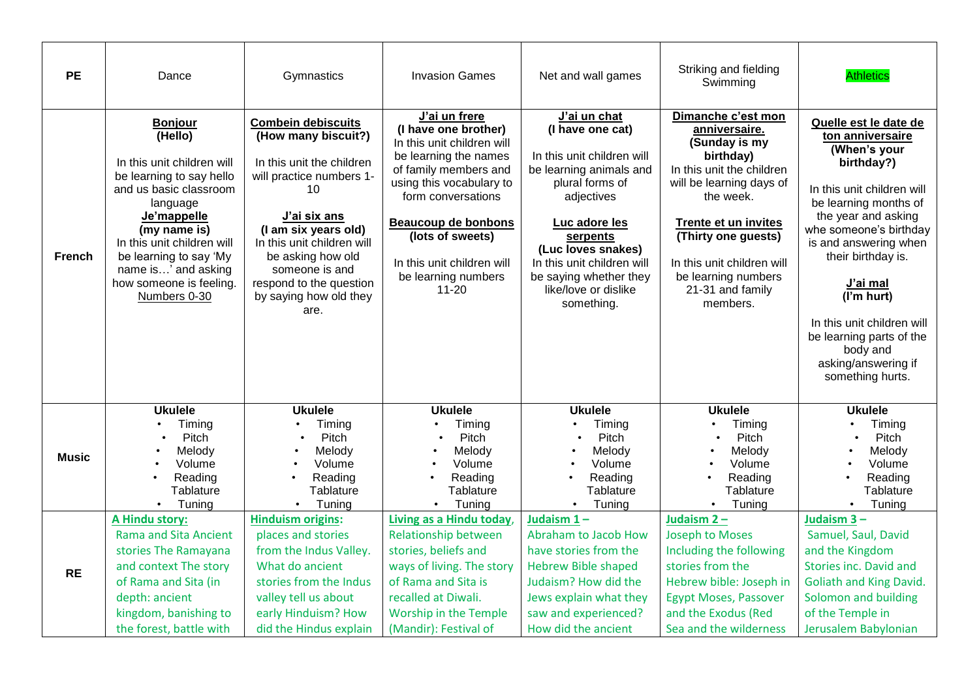| <b>PE</b>     | Dance                                                                                                                                                                                                                                                                              | Gymnastics                                                                                                                                                                                                                                                                                | <b>Invasion Games</b>                                                                                                                                                                                                                                                                       | Net and wall games                                                                                                                                                                                                                                                          | Striking and fielding<br>Swimming                                                                                                                                                                                                                                                  | <b>Athletics</b>                                                                                                                                                                                                                                                                                                                                                          |
|---------------|------------------------------------------------------------------------------------------------------------------------------------------------------------------------------------------------------------------------------------------------------------------------------------|-------------------------------------------------------------------------------------------------------------------------------------------------------------------------------------------------------------------------------------------------------------------------------------------|---------------------------------------------------------------------------------------------------------------------------------------------------------------------------------------------------------------------------------------------------------------------------------------------|-----------------------------------------------------------------------------------------------------------------------------------------------------------------------------------------------------------------------------------------------------------------------------|------------------------------------------------------------------------------------------------------------------------------------------------------------------------------------------------------------------------------------------------------------------------------------|---------------------------------------------------------------------------------------------------------------------------------------------------------------------------------------------------------------------------------------------------------------------------------------------------------------------------------------------------------------------------|
| <b>French</b> | <b>Bonjour</b><br>(Hello)<br>In this unit children will<br>be learning to say hello<br>and us basic classroom<br>language<br>Je'mappelle<br>(my name is)<br>In this unit children will<br>be learning to say 'My<br>name is' and asking<br>how someone is feeling.<br>Numbers 0-30 | <b>Combein debiscuits</b><br>(How many biscuit?)<br>In this unit the children<br>will practice numbers 1-<br>10<br>J'ai six ans<br>(I am six years old)<br>In this unit children will<br>be asking how old<br>someone is and<br>respond to the question<br>by saying how old they<br>are. | J'ai un frere<br>(I have one brother)<br>In this unit children will<br>be learning the names<br>of family members and<br>using this vocabulary to<br>form conversations<br><b>Beaucoup de bonbons</b><br>(lots of sweets)<br>In this unit children will<br>be learning numbers<br>$11 - 20$ | J'ai un chat<br>(I have one cat)<br>In this unit children will<br>be learning animals and<br>plural forms of<br>adjectives<br>Luc adore les<br>serpents<br>(Luc loves snakes)<br>In this unit children will<br>be saying whether they<br>like/love or dislike<br>something. | Dimanche c'est mon<br>anniversaire.<br>(Sunday is my<br>birthday)<br>In this unit the children<br>will be learning days of<br>the week.<br><b>Trente et un invites</b><br>(Thirty one guests)<br>In this unit children will<br>be learning numbers<br>21-31 and family<br>members. | Quelle est le date de<br>ton anniversaire<br>(When's your<br>birthday?)<br>In this unit children will<br>be learning months of<br>the year and asking<br>whe someone's birthday<br>is and answering when<br>their birthday is.<br>J'ai mal<br>(I'm hurt)<br>In this unit children will<br>be learning parts of the<br>body and<br>asking/answering if<br>something hurts. |
| <b>Music</b>  | <b>Ukulele</b><br>Timing<br>Pitch<br>Melody<br>Volume<br>Reading<br>Tablature<br>Tuning<br>$\bullet$                                                                                                                                                                               | <b>Ukulele</b><br>Timing<br>Pitch<br>Melody<br>Volume<br>Reading<br>Tablature<br>Tuning<br>$\bullet$                                                                                                                                                                                      | <b>Ukulele</b><br>Timing<br>Pitch<br>Melody<br>Volume<br>Reading<br>Tablature<br>Tuning<br>$\bullet$                                                                                                                                                                                        | <b>Ukulele</b><br>Timing<br>Pitch<br>Melody<br>Volume<br>Reading<br>Tablature<br>Tuning                                                                                                                                                                                     | <b>Ukulele</b><br>Timing<br>Pitch<br>Melody<br>Volume<br>Reading<br>Tablature<br>Tuning<br>$\bullet$                                                                                                                                                                               | <b>Ukulele</b><br>Timing<br>Pitch<br>Melody<br>Volume<br>Reading<br>Tablature<br>Tuning<br>$\bullet$                                                                                                                                                                                                                                                                      |
| <b>RE</b>     | A Hindu story:<br><b>Rama and Sita Ancient</b><br>stories The Ramayana<br>and context The story<br>of Rama and Sita (in<br>depth: ancient<br>kingdom, banishing to<br>the forest, battle with                                                                                      | <b>Hinduism origins:</b><br>places and stories<br>from the Indus Valley.<br>What do ancient<br>stories from the Indus<br>valley tell us about<br>early Hinduism? How<br>did the Hindus explain                                                                                            | Living as a Hindu today,<br><b>Relationship between</b><br>stories, beliefs and<br>ways of living. The story<br>of Rama and Sita is<br>recalled at Diwali.<br>Worship in the Temple<br>(Mandir): Festival of                                                                                | Judaism $1 -$<br>Abraham to Jacob How<br>have stories from the<br><b>Hebrew Bible shaped</b><br>Judaism? How did the<br>Jews explain what they<br>saw and experienced?<br>How did the ancient                                                                               | Judaism 2-<br><b>Joseph to Moses</b><br>Including the following<br>stories from the<br>Hebrew bible: Joseph in<br><b>Egypt Moses, Passover</b><br>and the Exodus (Red<br>Sea and the wilderness                                                                                    | Judaism 3-<br>Samuel, Saul, David<br>and the Kingdom<br>Stories inc. David and<br><b>Goliath and King David.</b><br>Solomon and building<br>of the Temple in<br>Jerusalem Babylonian                                                                                                                                                                                      |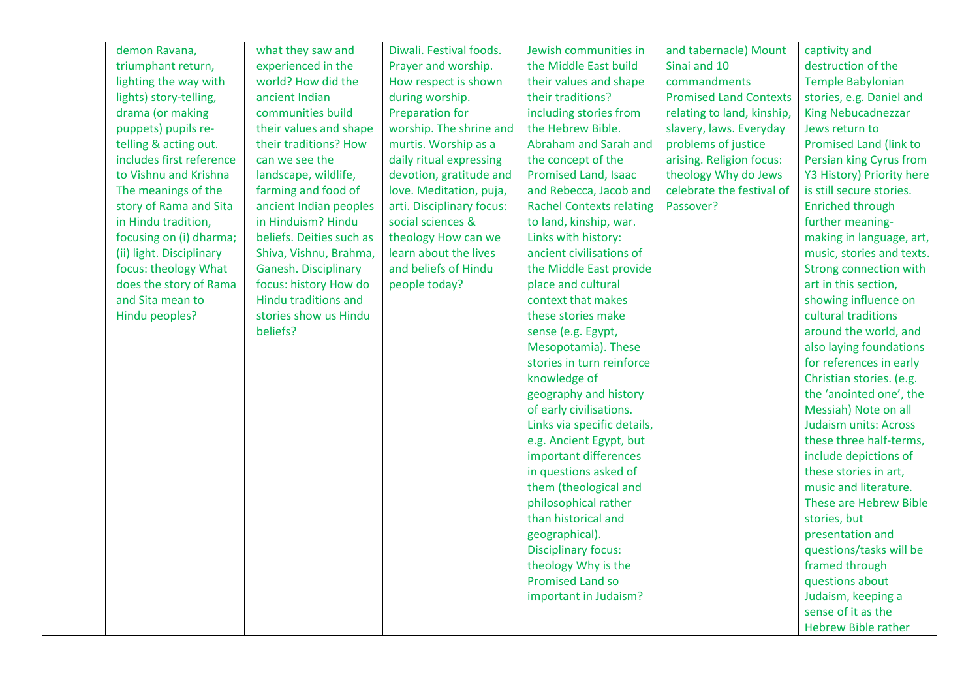| demon Ravana,            | what they saw and        | Diwali. Festival foods.   | Jewish communities in           | and tabernacle) Mount         | captivity and                |
|--------------------------|--------------------------|---------------------------|---------------------------------|-------------------------------|------------------------------|
| triumphant return,       | experienced in the       | Prayer and worship.       | the Middle East build           | Sinai and 10                  | destruction of the           |
| lighting the way with    | world? How did the       | How respect is shown      | their values and shape          | commandments                  | <b>Temple Babylonian</b>     |
| lights) story-telling,   | ancient Indian           | during worship.           | their traditions?               | <b>Promised Land Contexts</b> | stories, e.g. Daniel and     |
| drama (or making         | communities build        | <b>Preparation for</b>    | including stories from          | relating to land, kinship,    | <b>King Nebucadnezzar</b>    |
| puppets) pupils re-      | their values and shape   | worship. The shrine and   | the Hebrew Bible.               | slavery, laws. Everyday       | Jews return to               |
| telling & acting out.    | their traditions? How    | murtis. Worship as a      | Abraham and Sarah and           | problems of justice           | Promised Land (link to       |
| includes first reference | can we see the           | daily ritual expressing   | the concept of the              | arising. Religion focus:      | Persian king Cyrus from      |
| to Vishnu and Krishna    | landscape, wildlife,     | devotion, gratitude and   | <b>Promised Land, Isaac</b>     | theology Why do Jews          | Y3 History) Priority here    |
| The meanings of the      | farming and food of      | love. Meditation, puja,   | and Rebecca, Jacob and          | celebrate the festival of     | is still secure stories.     |
| story of Rama and Sita   | ancient Indian peoples   | arti. Disciplinary focus: | <b>Rachel Contexts relating</b> | Passover?                     | <b>Enriched through</b>      |
| in Hindu tradition,      | in Hinduism? Hindu       | social sciences &         | to land, kinship, war.          |                               | further meaning-             |
| focusing on (i) dharma;  | beliefs. Deities such as | theology How can we       | Links with history:             |                               | making in language, art,     |
| (ii) light. Disciplinary | Shiva, Vishnu, Brahma,   | learn about the lives     | ancient civilisations of        |                               | music, stories and texts.    |
| focus: theology What     | Ganesh. Disciplinary     | and beliefs of Hindu      | the Middle East provide         |                               | Strong connection with       |
| does the story of Rama   | focus: history How do    | people today?             | place and cultural              |                               | art in this section,         |
| and Sita mean to         | Hindu traditions and     |                           | context that makes              |                               | showing influence on         |
| Hindu peoples?           | stories show us Hindu    |                           | these stories make              |                               | cultural traditions          |
|                          | beliefs?                 |                           | sense (e.g. Egypt,              |                               | around the world, and        |
|                          |                          |                           | Mesopotamia). These             |                               | also laying foundations      |
|                          |                          |                           | stories in turn reinforce       |                               | for references in early      |
|                          |                          |                           | knowledge of                    |                               | Christian stories. (e.g.     |
|                          |                          |                           | geography and history           |                               | the 'anointed one', the      |
|                          |                          |                           | of early civilisations.         |                               | Messiah) Note on all         |
|                          |                          |                           | Links via specific details,     |                               | <b>Judaism units: Across</b> |
|                          |                          |                           | e.g. Ancient Egypt, but         |                               | these three half-terms,      |
|                          |                          |                           | important differences           |                               | include depictions of        |
|                          |                          |                           | in questions asked of           |                               | these stories in art,        |
|                          |                          |                           | them (theological and           |                               | music and literature.        |
|                          |                          |                           | philosophical rather            |                               | These are Hebrew Bible       |
|                          |                          |                           | than historical and             |                               | stories, but                 |
|                          |                          |                           | geographical).                  |                               | presentation and             |
|                          |                          |                           | <b>Disciplinary focus:</b>      |                               | questions/tasks will be      |
|                          |                          |                           | theology Why is the             |                               | framed through               |
|                          |                          |                           | <b>Promised Land so</b>         |                               | questions about              |
|                          |                          |                           | important in Judaism?           |                               | Judaism, keeping a           |
|                          |                          |                           |                                 |                               | sense of it as the           |
|                          |                          |                           |                                 |                               | <b>Hebrew Bible rather</b>   |